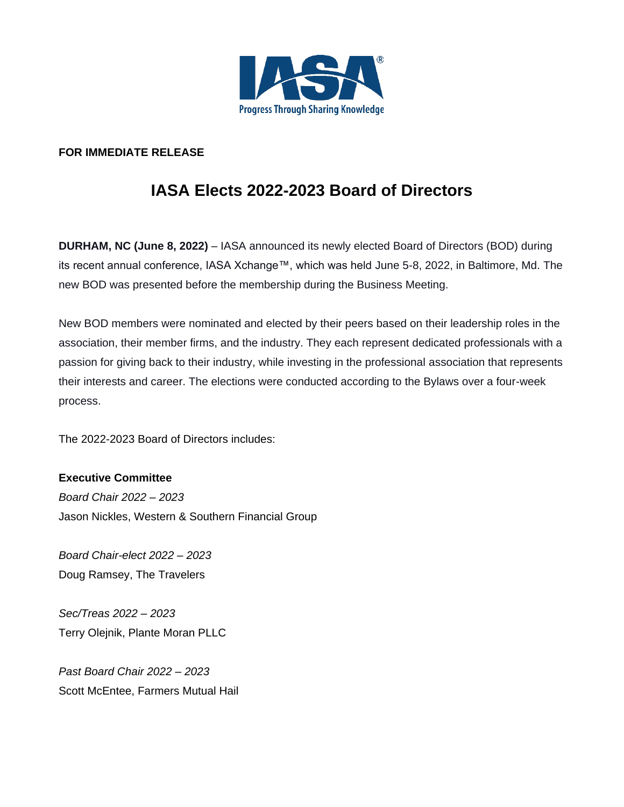

## **FOR IMMEDIATE RELEASE**

## **IASA Elects 2022-2023 Board of Directors**

**DURHAM, NC (June 8, 2022)** – IASA announced its newly elected Board of Directors (BOD) during its recent annual conference, IASA Xchange™, which was held June 5-8, 2022, in Baltimore, Md. The new BOD was presented before the membership during the Business Meeting.

New BOD members were nominated and elected by their peers based on their leadership roles in the association, their member firms, and the industry. They each represent dedicated professionals with a passion for giving back to their industry, while investing in the professional association that represents their interests and career. The elections were conducted according to the Bylaws over a four-week process.

The 2022-2023 Board of Directors includes:

**Executive Committee** *Board Chair 2022 – 2023*  Jason Nickles, Western & Southern Financial Group

*Board Chair-elect 2022 – 2023* Doug Ramsey, The Travelers

*Sec/Treas 2022 – 2023*  Terry Olejnik, Plante Moran PLLC

*Past Board Chair 2022 – 2023* Scott McEntee, Farmers Mutual Hail